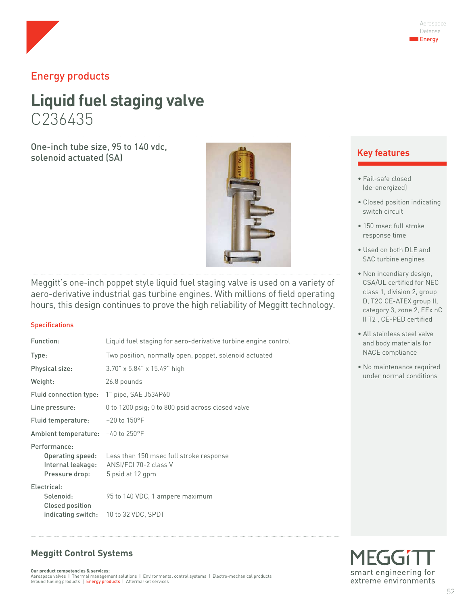

## Energy products

# **Liquid fuel staging valve** C236435

One-inch tube size, 95 to 140 vdc, solenoid actuated (SA) **Key features**



Meggitt's one-inch poppet style liquid fuel staging valve is used on a variety of aero-derivative industrial gas turbine engines. With millions of field operating hours, this design continues to prove the high reliability of Meggitt technology.

#### **Specifications**

| Function:                                                               | Liquid fuel staging for aero-derivative turbine engine control                       |
|-------------------------------------------------------------------------|--------------------------------------------------------------------------------------|
| Type:                                                                   | Two position, normally open, poppet, solenoid actuated                               |
| Physical size:                                                          | $3.70$ " x 5.84" x 15.49" high                                                       |
| Weight:                                                                 | 26.8 pounds                                                                          |
| Fluid connection type:                                                  | 1" pipe, SAE J534P60                                                                 |
| Line pressure:                                                          | 0 to 1200 psig; 0 to 800 psid across closed valve                                    |
| Fluid temperature:                                                      | $-20$ to 150°F                                                                       |
| Ambient temperature: -40 to 250°F                                       |                                                                                      |
| Performance:<br>Operating speed:<br>Internal leakage:<br>Pressure drop: | Less than 150 msec full stroke response<br>ANSI/FCI 70-2 class V<br>5 psid at 12 gpm |
| Electrical:<br>Solenoid:<br>Closed position                             | 95 to 140 VDC, 1 ampere maximum<br>indicating switch: 10 to 32 VDC, SPDT             |

- Fail-safe closed (de-energized)
- Closed position indicating switch circuit
- 150 msec full stroke response time
- Used on both DLE and SAC turbine engines
- Non incendiary design, CSA/UL certified for NEC class 1, division 2, group D, T2C CE-ATEX group II, category 3, zone 2, EEx nC II T2 , CE-PED certified
- All stainless steel valve and body materials for NACE compliance
- No maintenance required under normal conditions

#### **Meggitt Control Systems**